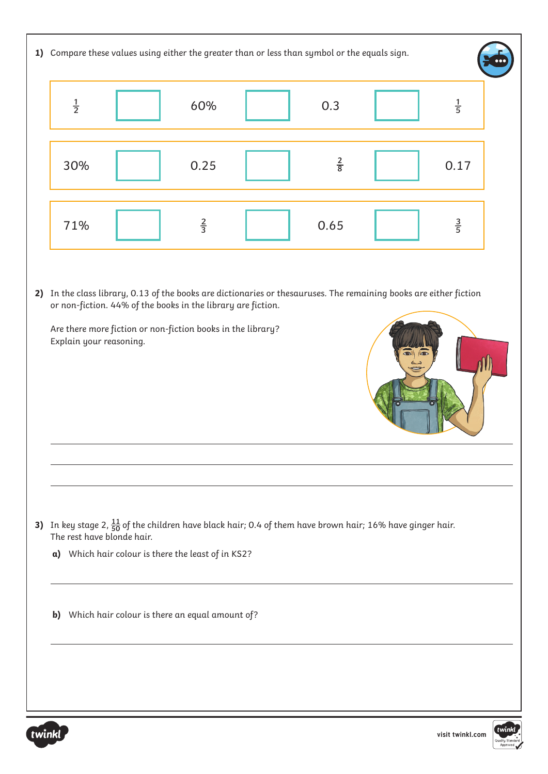| 1) Compare these values using either the greater than or less than symbol or the equals sign. |                                                                                                                                                                                                                                                                                                                                                                                                                                                                                            |  |                                                   |  |             |  |               |       |
|-----------------------------------------------------------------------------------------------|--------------------------------------------------------------------------------------------------------------------------------------------------------------------------------------------------------------------------------------------------------------------------------------------------------------------------------------------------------------------------------------------------------------------------------------------------------------------------------------------|--|---------------------------------------------------|--|-------------|--|---------------|-------|
|                                                                                               | $\frac{1}{2}$                                                                                                                                                                                                                                                                                                                                                                                                                                                                              |  | 60%                                               |  | 0.3         |  | $\frac{1}{5}$ |       |
|                                                                                               | 30%                                                                                                                                                                                                                                                                                                                                                                                                                                                                                        |  | 0.25                                              |  | $rac{2}{8}$ |  | 0.17          |       |
|                                                                                               | 71%                                                                                                                                                                                                                                                                                                                                                                                                                                                                                        |  | $rac{2}{3}$                                       |  | 0.65        |  | $rac{3}{5}$   |       |
|                                                                                               | 2) In the class library, 0.13 of the books are dictionaries or thesauruses. The remaining books are either fiction<br>or non-fiction. 44% of the books in the library are fiction.<br>Are there more fiction or non-fiction books in the library?<br>Explain your reasoning.<br>3) In key stage 2, $\frac{11}{50}$ of the children have black hair; 0.4 of them have brown hair; 16% have ginger hair.<br>The rest have blonde hair.<br>a) Which hair colour is there the least of in KS2? |  |                                                   |  |             |  |               |       |
|                                                                                               |                                                                                                                                                                                                                                                                                                                                                                                                                                                                                            |  |                                                   |  |             |  |               |       |
|                                                                                               |                                                                                                                                                                                                                                                                                                                                                                                                                                                                                            |  | b) Which hair colour is there an equal amount of? |  |             |  |               |       |
|                                                                                               |                                                                                                                                                                                                                                                                                                                                                                                                                                                                                            |  |                                                   |  |             |  |               | twink |

Quality Standa<br>Approved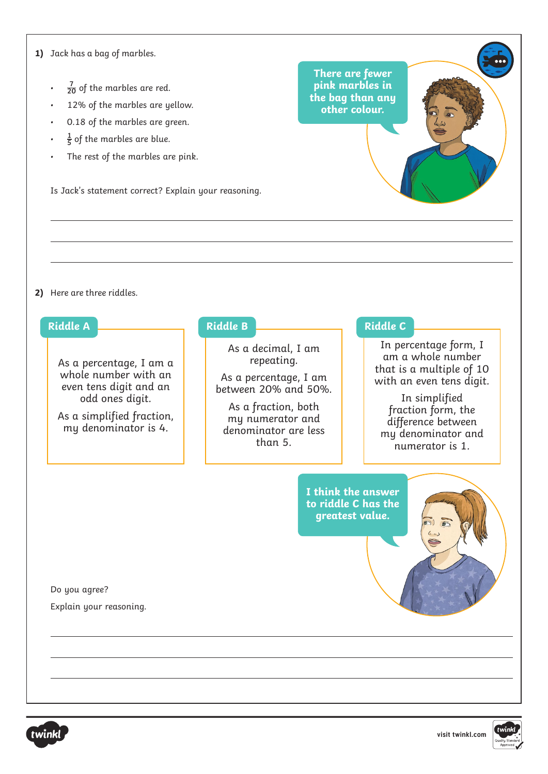